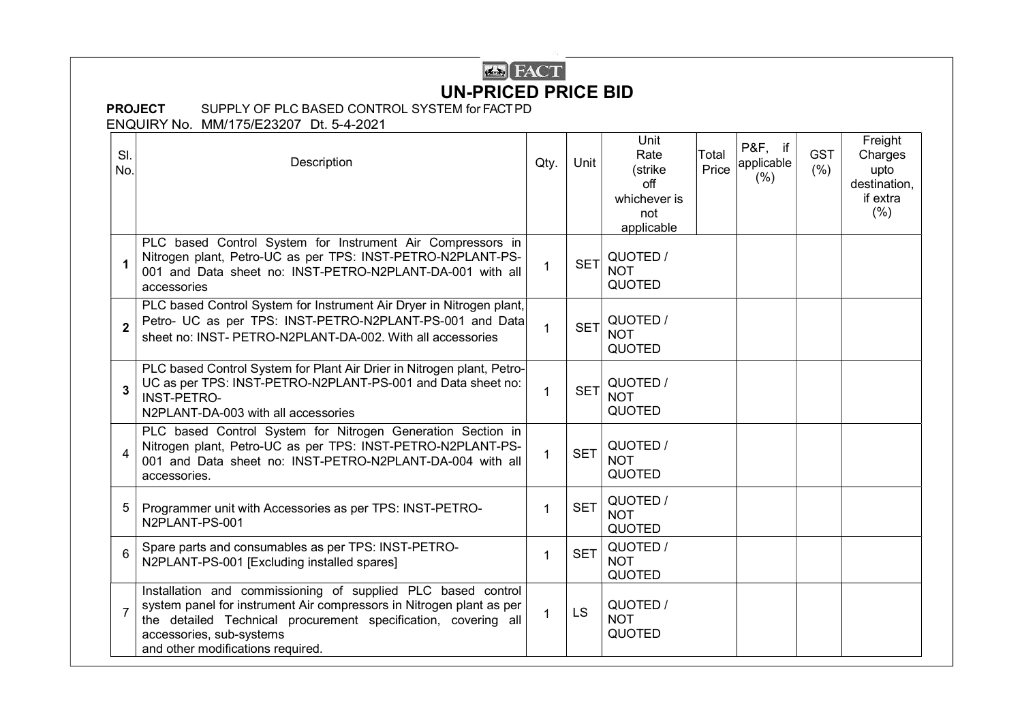## **EX**<br> **FACT** UN-PRICED PRICE BID

## PROJECT SUPPLY OF PLC BASED CONTROL SYSTEM for FACT PD

ENQUIRY No. MM/175/E23207 Dt. 5-4-2021

| SI.<br>No.      | Description                                                                                                                                                                                                                                                             | Qty.         | Unit       | Unit<br>Rate<br>(strike<br>off<br>whichever is<br>not<br>applicable | Total<br>Price | P&F, if<br>applicable<br>(% ) | <b>GST</b><br>(% ) | Freight<br>Charges<br>upto<br>destination,<br>if extra<br>(% ) |
|-----------------|-------------------------------------------------------------------------------------------------------------------------------------------------------------------------------------------------------------------------------------------------------------------------|--------------|------------|---------------------------------------------------------------------|----------------|-------------------------------|--------------------|----------------------------------------------------------------|
| 1               | PLC based Control System for Instrument Air Compressors in<br>Nitrogen plant, Petro-UC as per TPS: INST-PETRO-N2PLANT-PS-<br>001 and Data sheet no: INST-PETRO-N2PLANT-DA-001 with all<br>accessories                                                                   | $\mathbf 1$  | <b>SET</b> | QUOTED /<br><b>NOT</b><br><b>QUOTED</b>                             |                |                               |                    |                                                                |
| $\overline{2}$  | PLC based Control System for Instrument Air Dryer in Nitrogen plant,<br>Petro- UC as per TPS: INST-PETRO-N2PLANT-PS-001 and Data<br>sheet no: INST- PETRO-N2PLANT-DA-002. With all accessories                                                                          | $\mathbf 1$  | <b>SET</b> | QUOTED /<br><b>NOT</b><br><b>QUOTED</b>                             |                |                               |                    |                                                                |
| $\overline{3}$  | PLC based Control System for Plant Air Drier in Nitrogen plant, Petro-<br>UC as per TPS: INST-PETRO-N2PLANT-PS-001 and Data sheet no:<br><b>INST-PETRO-</b><br>N2PLANT-DA-003 with all accessories                                                                      | 1            | <b>SET</b> | QUOTED /<br><b>NOT</b><br><b>QUOTED</b>                             |                |                               |                    |                                                                |
| 4               | PLC based Control System for Nitrogen Generation Section in<br>Nitrogen plant, Petro-UC as per TPS: INST-PETRO-N2PLANT-PS-<br>001 and Data sheet no: INST-PETRO-N2PLANT-DA-004 with all<br>accessories.                                                                 | 1.           | <b>SET</b> | QUOTED /<br><b>NOT</b><br><b>QUOTED</b>                             |                |                               |                    |                                                                |
| 5               | Programmer unit with Accessories as per TPS: INST-PETRO-<br>N2PLANT-PS-001                                                                                                                                                                                              | $\mathbf 1$  | <b>SET</b> | QUOTED /<br><b>NOT</b><br><b>QUOTED</b>                             |                |                               |                    |                                                                |
| $6\phantom{1}6$ | Spare parts and consumables as per TPS: INST-PETRO-<br>N2PLANT-PS-001 [Excluding installed spares]                                                                                                                                                                      | 1            | <b>SET</b> | QUOTED /<br><b>NOT</b><br><b>QUOTED</b>                             |                |                               |                    |                                                                |
| $\overline{7}$  | Installation and commissioning of supplied PLC based control<br>system panel for instrument Air compressors in Nitrogen plant as per<br>the detailed Technical procurement specification, covering all<br>accessories, sub-systems<br>and other modifications required. | $\mathbf{1}$ | LS         | QUOTED /<br><b>NOT</b><br><b>QUOTED</b>                             |                |                               |                    |                                                                |